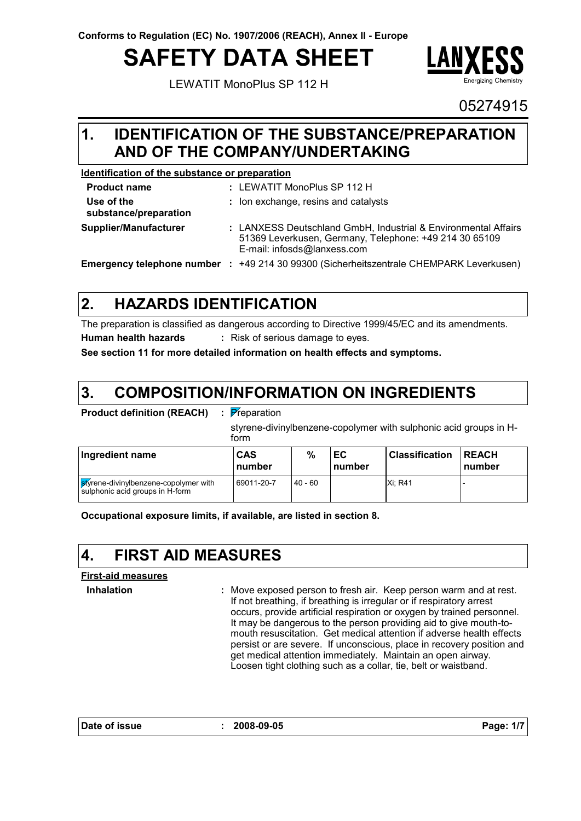# **SAFETY DATA SHEET**

LEWATIT MonoPlus SP 112 H



05274915

### **IDENTIFICATION OF THE SUBSTANCE/PREPARATION 1. AND OF THE COMPANY/UNDERTAKING**

### **Identification of the substance or preparation**

| <b>Product name</b>                 |     | : LEWATIT MonoPlus SP 112 H                                                                                                                             |
|-------------------------------------|-----|---------------------------------------------------------------------------------------------------------------------------------------------------------|
| Use of the<br>substance/preparation |     | : Ion exchange, resins and catalysts                                                                                                                    |
| Supplier/Manufacturer               |     | : LANXESS Deutschland GmbH, Industrial & Environmental Affairs<br>51369 Leverkusen, Germany, Telephone: +49 214 30 65109<br>E-mail: infosds@lanxess.com |
| <b>Emergency telephone number</b>   | -11 | +49 214 30 99300 (Sicherheitszentrale CHEMPARK Leverkusen)                                                                                              |

#### **HAZARDS IDENTIFICATION 2.**

The preparation is classified as dangerous according to Directive 1999/45/EC and its amendments. **Human health hazards :** Risk of serious damage to eyes.

**See section 11 for more detailed information on health effects and symptoms.**

#### **COMPOSITION/INFORMATION ON INGREDIENTS 3.**

| <b>Product definition (REACH)</b> |  | : Pre |
|-----------------------------------|--|-------|
|-----------------------------------|--|-------|

Preparation

styrene-divinylbenzene-copolymer with sulphonic acid groups in Hform

| Ingredient name                                                          | <b>CAS</b><br>number | %         | EC<br>number | <b>Classification</b> | <b>IREACH</b><br><b>Inumber</b> |
|--------------------------------------------------------------------------|----------------------|-----------|--------------|-----------------------|---------------------------------|
| styrene-divinylbenzene-copolymer with<br>sulphonic acid groups in H-form | 69011-20-7           | $40 - 60$ |              | Xi: R41               |                                 |

**Occupational exposure limits, if available, are listed in section 8.**

# **4. FIRST AID MEASURES**

### **First-aid measures**

**Inhalation :**

Move exposed person to fresh air. Keep person warm and at rest. If not breathing, if breathing is irregular or if respiratory arrest occurs, provide artificial respiration or oxygen by trained personnel. It may be dangerous to the person providing aid to give mouth-tomouth resuscitation. Get medical attention if adverse health effects persist or are severe. If unconscious, place in recovery position and get medical attention immediately. Maintain an open airway. Loosen tight clothing such as a collar, tie, belt or waistband.

**Date of issue : 2008-09-05 Page: 1/7**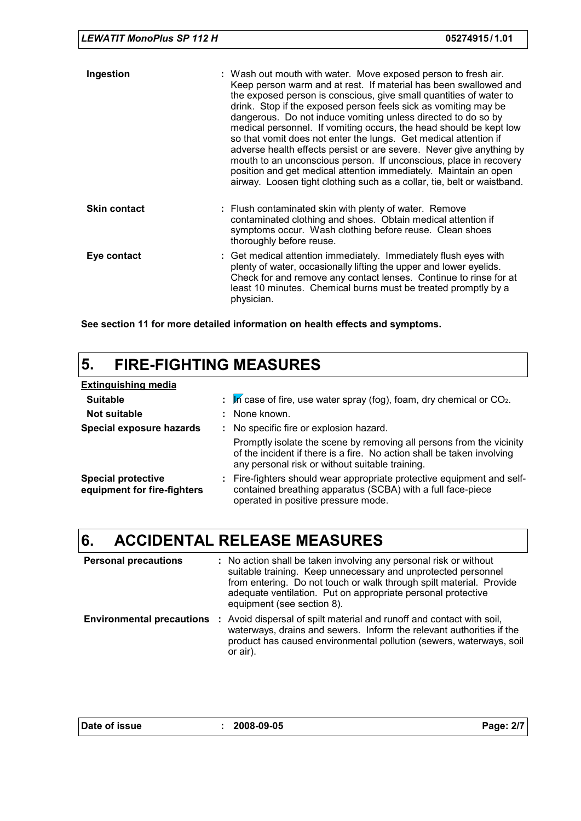| Ingestion           | : Wash out mouth with water. Move exposed person to fresh air.<br>Keep person warm and at rest. If material has been swallowed and<br>the exposed person is conscious, give small quantities of water to<br>drink. Stop if the exposed person feels sick as vomiting may be<br>dangerous. Do not induce vomiting unless directed to do so by<br>medical personnel. If vomiting occurs, the head should be kept low<br>so that vomit does not enter the lungs. Get medical attention if<br>adverse health effects persist or are severe. Never give anything by<br>mouth to an unconscious person. If unconscious, place in recovery<br>position and get medical attention immediately. Maintain an open<br>airway. Loosen tight clothing such as a collar, tie, belt or waistband. |
|---------------------|------------------------------------------------------------------------------------------------------------------------------------------------------------------------------------------------------------------------------------------------------------------------------------------------------------------------------------------------------------------------------------------------------------------------------------------------------------------------------------------------------------------------------------------------------------------------------------------------------------------------------------------------------------------------------------------------------------------------------------------------------------------------------------|
| <b>Skin contact</b> | : Flush contaminated skin with plenty of water. Remove<br>contaminated clothing and shoes. Obtain medical attention if<br>symptoms occur. Wash clothing before reuse. Clean shoes<br>thoroughly before reuse.                                                                                                                                                                                                                                                                                                                                                                                                                                                                                                                                                                      |
| Eye contact         | : Get medical attention immediately. Immediately flush eyes with<br>plenty of water, occasionally lifting the upper and lower eyelids.<br>Check for and remove any contact lenses. Continue to rinse for at<br>least 10 minutes. Chemical burns must be treated promptly by a<br>physician.                                                                                                                                                                                                                                                                                                                                                                                                                                                                                        |

**See section 11 for more detailed information on health effects and symptoms.**

### **5. FIRE-FIGHTING MEASURES**

| <b>Extinguishing media</b>                               |                                                                                                                                                                                                   |
|----------------------------------------------------------|---------------------------------------------------------------------------------------------------------------------------------------------------------------------------------------------------|
| <b>Suitable</b>                                          | $\therefore$ In case of fire, use water spray (fog), foam, dry chemical or CO <sub>2</sub> .                                                                                                      |
| Not suitable                                             | : None known.                                                                                                                                                                                     |
| Special exposure hazards                                 | : No specific fire or explosion hazard.                                                                                                                                                           |
|                                                          | Promptly isolate the scene by removing all persons from the vicinity<br>of the incident if there is a fire. No action shall be taken involving<br>any personal risk or without suitable training. |
| <b>Special protective</b><br>equipment for fire-fighters | : Fire-fighters should wear appropriate protective equipment and self-<br>contained breathing apparatus (SCBA) with a full face-piece<br>operated in positive pressure mode.                      |

# **6. ACCIDENTAL RELEASE MEASURES**

| <b>Personal precautions</b>      | : No action shall be taken involving any personal risk or without<br>suitable training. Keep unnecessary and unprotected personnel<br>from entering. Do not touch or walk through spilt material. Provide<br>adequate ventilation. Put on appropriate personal protective<br>equipment (see section 8). |
|----------------------------------|---------------------------------------------------------------------------------------------------------------------------------------------------------------------------------------------------------------------------------------------------------------------------------------------------------|
| <b>Environmental precautions</b> | : Avoid dispersal of spilt material and runoff and contact with soil,<br>waterways, drains and sewers. Inform the relevant authorities if the<br>product has caused environmental pollution (sewers, waterways, soil<br>or air).                                                                        |

| Date of issue | 2008-09-05 | Page: 2/7 |
|---------------|------------|-----------|
|               |            |           |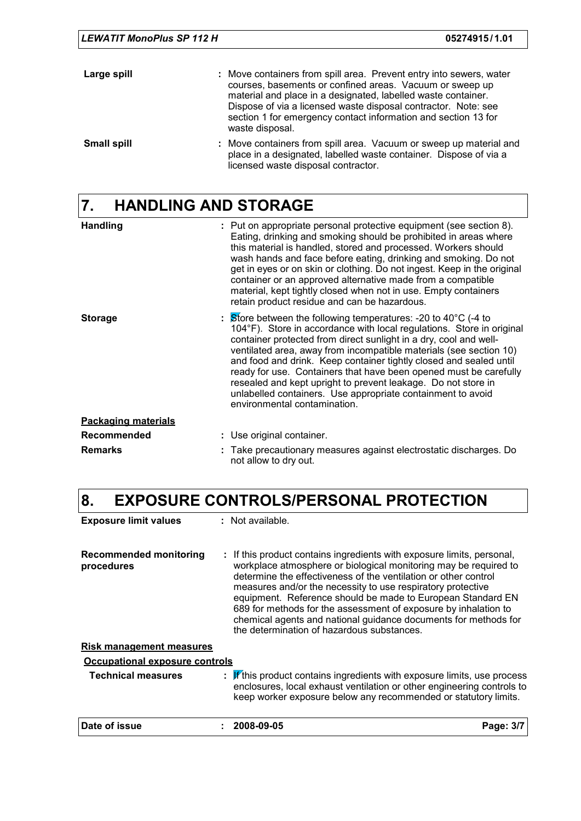| LEWATIT MonoPlus SP 112 H | 05274915/1.01                                                                                                                                                                                                                                                                                                                                           |  |
|---------------------------|---------------------------------------------------------------------------------------------------------------------------------------------------------------------------------------------------------------------------------------------------------------------------------------------------------------------------------------------------------|--|
| Large spill               | : Move containers from spill area. Prevent entry into sewers, water<br>courses, basements or confined areas. Vacuum or sweep up<br>material and place in a designated, labelled waste container.<br>Dispose of via a licensed waste disposal contractor. Note: see<br>section 1 for emergency contact information and section 13 for<br>waste disposal. |  |
| <b>Small spill</b>        | : Move containers from spill area. Vacuum or sweep up material and<br>place in a designated, labelled waste container. Dispose of via a<br>licensed waste disposal contractor.                                                                                                                                                                          |  |

# **7. HANDLING AND STORAGE**

| <b>Handling</b>            | : Put on appropriate personal protective equipment (see section 8).<br>Eating, drinking and smoking should be prohibited in areas where<br>this material is handled, stored and processed. Workers should<br>wash hands and face before eating, drinking and smoking. Do not<br>get in eyes or on skin or clothing. Do not ingest. Keep in the original<br>container or an approved alternative made from a compatible<br>material, kept tightly closed when not in use. Empty containers<br>retain product residue and can be hazardous.                                                                           |
|----------------------------|---------------------------------------------------------------------------------------------------------------------------------------------------------------------------------------------------------------------------------------------------------------------------------------------------------------------------------------------------------------------------------------------------------------------------------------------------------------------------------------------------------------------------------------------------------------------------------------------------------------------|
| <b>Storage</b>             | $\therefore$ Store between the following temperatures: -20 to 40 $^{\circ}$ C (-4 to<br>104°F). Store in accordance with local regulations. Store in original<br>container protected from direct sunlight in a dry, cool and well-<br>ventilated area, away from incompatible materials (see section 10)<br>and food and drink. Keep container tightly closed and sealed until<br>ready for use. Containers that have been opened must be carefully<br>resealed and kept upright to prevent leakage. Do not store in<br>unlabelled containers. Use appropriate containment to avoid<br>environmental contamination. |
| <b>Packaging materials</b> |                                                                                                                                                                                                                                                                                                                                                                                                                                                                                                                                                                                                                     |
| <b>Recommended</b>         | : Use original container.                                                                                                                                                                                                                                                                                                                                                                                                                                                                                                                                                                                           |
| <b>Remarks</b>             | : Take precautionary measures against electrostatic discharges. Do<br>not allow to dry out.                                                                                                                                                                                                                                                                                                                                                                                                                                                                                                                         |

# **8. EXPOSURE CONTROLS/PERSONAL PROTECTION**

| <b>Exposure limit values</b>         | $:$ Not available.                                                                                                                                                                                                                                                                                                                                                                                                                                                                                                              |           |
|--------------------------------------|---------------------------------------------------------------------------------------------------------------------------------------------------------------------------------------------------------------------------------------------------------------------------------------------------------------------------------------------------------------------------------------------------------------------------------------------------------------------------------------------------------------------------------|-----------|
| Recommended monitoring<br>procedures | : If this product contains ingredients with exposure limits, personal,<br>workplace atmosphere or biological monitoring may be required to<br>determine the effectiveness of the ventilation or other control<br>measures and/or the necessity to use respiratory protective<br>equipment. Reference should be made to European Standard EN<br>689 for methods for the assessment of exposure by inhalation to<br>chemical agents and national guidance documents for methods for<br>the determination of hazardous substances. |           |
| <b>Risk management measures</b>      |                                                                                                                                                                                                                                                                                                                                                                                                                                                                                                                                 |           |
| Occupational exposure controls       |                                                                                                                                                                                                                                                                                                                                                                                                                                                                                                                                 |           |
| <b>Technical measures</b>            | $\mathbf{F}$ if this product contains ingredients with exposure limits, use process<br>enclosures, local exhaust ventilation or other engineering controls to<br>keep worker exposure below any recommended or statutory limits.                                                                                                                                                                                                                                                                                                |           |
| Date of issue                        | 2008-09-05                                                                                                                                                                                                                                                                                                                                                                                                                                                                                                                      | Page: 3/7 |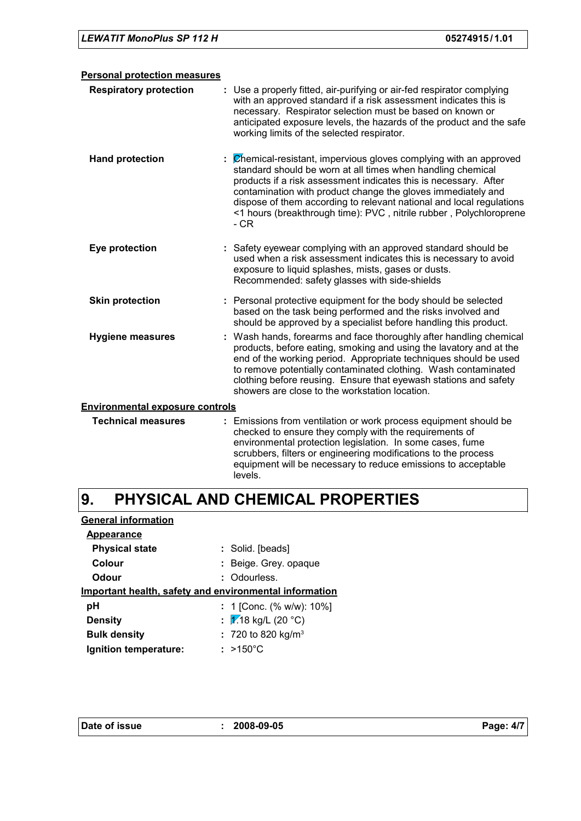| <b>Personal protection measures</b>    |                                                                                                                                                                                                                                                                                                                                                                                                                                                     |
|----------------------------------------|-----------------------------------------------------------------------------------------------------------------------------------------------------------------------------------------------------------------------------------------------------------------------------------------------------------------------------------------------------------------------------------------------------------------------------------------------------|
| <b>Respiratory protection</b>          | : Use a properly fitted, air-purifying or air-fed respirator complying<br>with an approved standard if a risk assessment indicates this is<br>necessary. Respirator selection must be based on known or<br>anticipated exposure levels, the hazards of the product and the safe<br>working limits of the selected respirator.                                                                                                                       |
| <b>Hand protection</b>                 | $\frac{1}{2}$ $\mathbb{Z}$ hemical-resistant, impervious gloves complying with an approved<br>standard should be worn at all times when handling chemical<br>products if a risk assessment indicates this is necessary. After<br>contamination with product change the gloves immediately and<br>dispose of them according to relevant national and local regulations<br><1 hours (breakthrough time): PVC, nitrile rubber, Polychloroprene<br>- CR |
| Eye protection                         | : Safety eyewear complying with an approved standard should be<br>used when a risk assessment indicates this is necessary to avoid<br>exposure to liquid splashes, mists, gases or dusts.<br>Recommended: safety glasses with side-shields                                                                                                                                                                                                          |
| <b>Skin protection</b>                 | : Personal protective equipment for the body should be selected<br>based on the task being performed and the risks involved and<br>should be approved by a specialist before handling this product.                                                                                                                                                                                                                                                 |
| <b>Hygiene measures</b>                | : Wash hands, forearms and face thoroughly after handling chemical<br>products, before eating, smoking and using the lavatory and at the<br>end of the working period. Appropriate techniques should be used<br>to remove potentially contaminated clothing. Wash contaminated<br>clothing before reusing. Ensure that eyewash stations and safety<br>showers are close to the workstation location.                                                |
| <b>Environmental exposure controls</b> |                                                                                                                                                                                                                                                                                                                                                                                                                                                     |
| <b>Technical measures</b>              | : Emissions from ventilation or work process equipment should be<br>abaalcad ta qooyna thay qooyntu uith tha xaayiyaaqaata af                                                                                                                                                                                                                                                                                                                       |

| <b>Technical measures</b> | : Emissions from ventilation or work process equipment should be |
|---------------------------|------------------------------------------------------------------|
|                           | checked to ensure they comply with the requirements of           |
|                           | environmental protection legislation. In some cases, fume        |
|                           | scrubbers, filters or engineering modifications to the process   |
|                           | equipment will be necessary to reduce emissions to acceptable    |
|                           | levels.                                                          |

#### **PHYSICAL AND CHEMICAL PROPERTIES 9.**

### **General information**

| Appearance            |                                                        |
|-----------------------|--------------------------------------------------------|
| <b>Physical state</b> | : Solid. [beads]                                       |
| Colour                | : Beige. Grey. opaque                                  |
| <b>Odour</b>          | : Odourless.                                           |
|                       | Important health, safety and environmental information |
| рH                    | : 1 [Conc. $% w/w$ ]: 10%]                             |
| <b>Density</b>        | : $\sqrt{2}$ 18 kg/L (20 °C)                           |
| <b>Bulk density</b>   | : 720 to 820 kg/m <sup>3</sup>                         |
| Ignition temperature: | $: >150^{\circ}$ C                                     |

| Date of issue |  |
|---------------|--|
|---------------|--|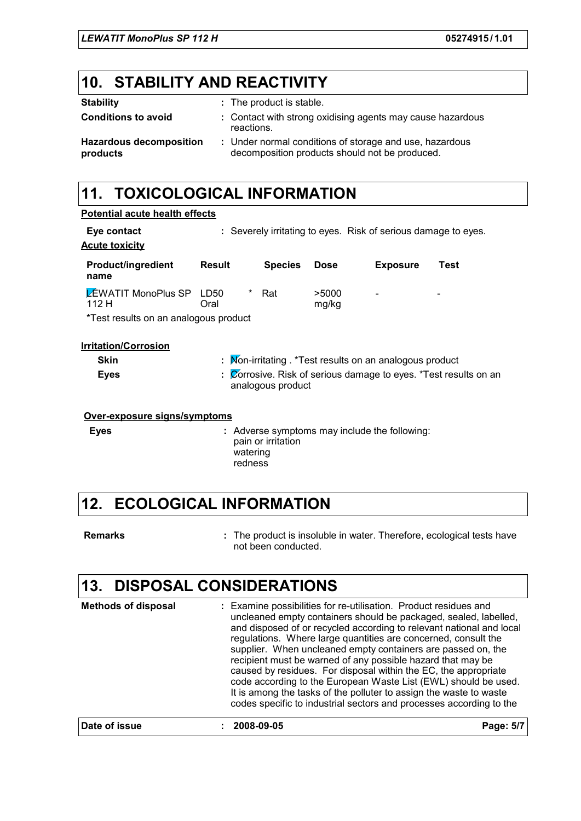## **10. STABILITY AND REACTIVITY**

| <b>Stability</b>                           | : The product is stable.                                                                                  |
|--------------------------------------------|-----------------------------------------------------------------------------------------------------------|
| <b>Conditions to avoid</b>                 | : Contact with strong oxidising agents may cause hazardous<br>reactions.                                  |
| <b>Hazardous decomposition</b><br>products | : Under normal conditions of storage and use, hazardous<br>decomposition products should not be produced. |

# **11. TOXICOLOGICAL INFORMATION**

| <b>Potential acute health effects</b>    |               |                     |                    |                |                                                                |                                                                                      |
|------------------------------------------|---------------|---------------------|--------------------|----------------|----------------------------------------------------------------|--------------------------------------------------------------------------------------|
| Eye contact<br><b>Acute toxicity</b>     |               |                     |                    |                | : Severely irritating to eyes. Risk of serious damage to eyes. |                                                                                      |
| <b>Product/ingredient</b><br>name        | <b>Result</b> |                     | <b>Species</b>     | <b>Dose</b>    | <b>Exposure</b>                                                | Test                                                                                 |
| <b>LEWATIT MonoPlus SP LD50</b><br>112 H | Oral          | $\star$             | Rat                | >5000<br>mg/kg |                                                                |                                                                                      |
| *Test results on an analogous product    |               |                     |                    |                |                                                                |                                                                                      |
| <b>Irritation/Corrosion</b>              |               |                     |                    |                |                                                                |                                                                                      |
| <b>Skin</b>                              |               |                     |                    |                | : Mon-irritating . *Test results on an analogous product       |                                                                                      |
| <b>Eyes</b>                              |               |                     | analogous product  |                |                                                                | $\frac{1}{2}$ <i>C</i> orrosive. Risk of serious damage to eyes. *Test results on an |
| Over-exposure signs/symptoms             |               |                     |                    |                |                                                                |                                                                                      |
| <b>Eyes</b>                              |               | watering<br>redness | pain or irritation |                | : Adverse symptoms may include the following:                  |                                                                                      |

### **12. ECOLOGICAL INFORMATION**

| Remarks | : The product is insoluble in water. Therefore, ecological tests have<br>not been conducted. |
|---------|----------------------------------------------------------------------------------------------|
|---------|----------------------------------------------------------------------------------------------|

# **13. DISPOSAL CONSIDERATIONS**

| <b>Methods of disposal</b> | : Examine possibilities for re-utilisation. Product residues and<br>uncleaned empty containers should be packaged, sealed, labelled,<br>and disposed of or recycled according to relevant national and local<br>regulations. Where large quantities are concerned, consult the<br>supplier. When uncleaned empty containers are passed on, the<br>recipient must be warned of any possible hazard that may be<br>caused by residues. For disposal within the EC, the appropriate<br>code according to the European Waste List (EWL) should be used.<br>It is among the tasks of the polluter to assign the waste to waste<br>codes specific to industrial sectors and processes according to the |           |
|----------------------------|--------------------------------------------------------------------------------------------------------------------------------------------------------------------------------------------------------------------------------------------------------------------------------------------------------------------------------------------------------------------------------------------------------------------------------------------------------------------------------------------------------------------------------------------------------------------------------------------------------------------------------------------------------------------------------------------------|-----------|
| Date of issue              | 2008-09-05                                                                                                                                                                                                                                                                                                                                                                                                                                                                                                                                                                                                                                                                                       | Page: 5/7 |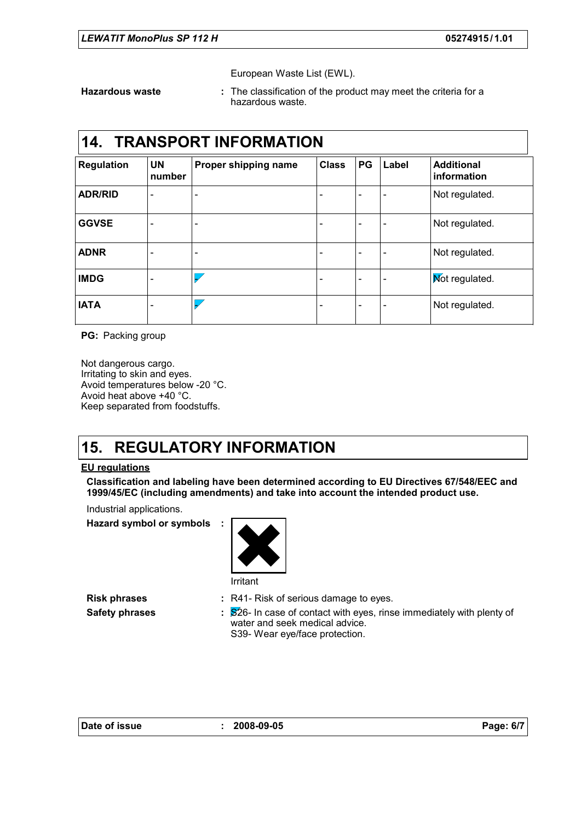European Waste List (EWL).

**Hazardous waste :**

The classification of the product may meet the criteria for a hazardous waste.

### **14. TRANSPORT INFORMATION**

| <b>Regulation</b> | <b>UN</b><br>number          | Proper shipping name         | <b>Class</b> | PG | Label                    | <b>Additional</b><br>information |
|-------------------|------------------------------|------------------------------|--------------|----|--------------------------|----------------------------------|
| <b>ADR/RID</b>    | $\overline{\phantom{a}}$     | ۰                            |              |    |                          | Not regulated.                   |
| <b>GGVSE</b>      | $\qquad \qquad \blacksquare$ | $\qquad \qquad \blacksquare$ |              |    |                          | Not regulated.                   |
| <b>ADNR</b>       | $\overline{\phantom{a}}$     | ۰                            |              |    | $\overline{\phantom{0}}$ | Not regulated.                   |
| <b>IMDG</b>       | $\qquad \qquad \blacksquare$ |                              |              | -  | $\overline{\phantom{0}}$ | Mot regulated.                   |
| <b>IATA</b>       | $\overline{\phantom{0}}$     |                              |              |    |                          | Not regulated.                   |

**PG:** Packing group

Not dangerous cargo. Irritating to skin and eyes. Avoid temperatures below -20 °C. Avoid heat above +40 °C. Keep separated from foodstuffs.

### **15. REGULATORY INFORMATION**

#### **EU regulations**

**Classification and labeling have been determined according to EU Directives 67/548/EEC and 1999/45/EC (including amendments) and take into account the intended product use.**

Industrial applications.

**Hazard symbol or symbols :**



**Risk phrases R41- Risk of serious damage to eyes.** 

**Safety phrases** : S<sup>26</sup>- In case of contact with eyes, rinse immediately with plenty of water and seek medical advice. S39- Wear eye/face protection.

|  | Date of issue |
|--|---------------|
|--|---------------|

**Date of issue : 2008-09-05 Page: 6/7**